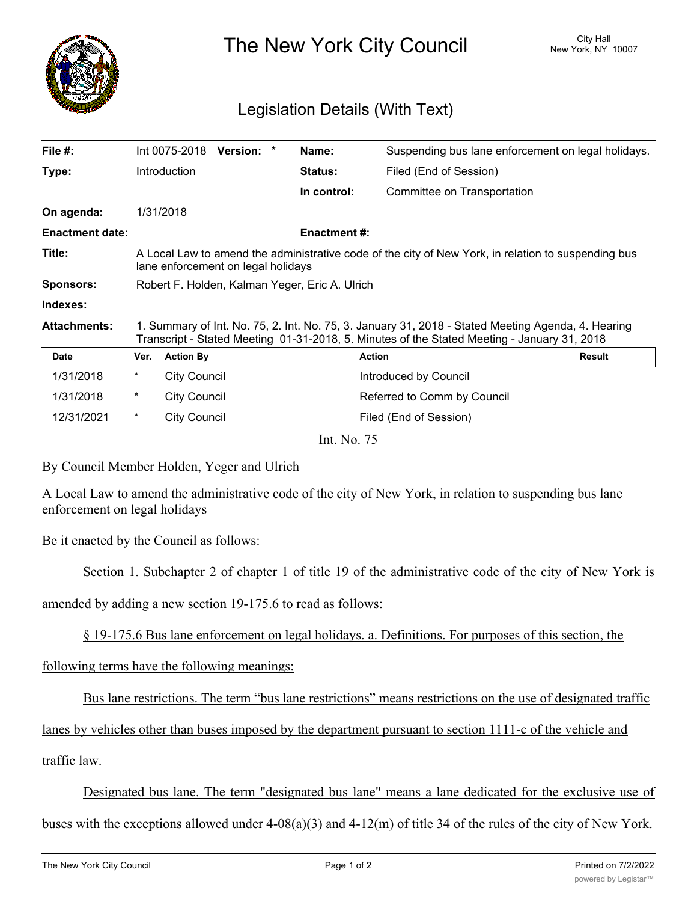

The New York City Council New York, NY 10007

## Legislation Details (With Text)

| File #:                |                                                                                                                                                                                                   | Int 0075-2018       | <b>Version:</b> |  | Name:          | Suspending bus lane enforcement on legal holidays. |               |
|------------------------|---------------------------------------------------------------------------------------------------------------------------------------------------------------------------------------------------|---------------------|-----------------|--|----------------|----------------------------------------------------|---------------|
| Type:                  |                                                                                                                                                                                                   | Introduction        |                 |  | <b>Status:</b> | Filed (End of Session)                             |               |
|                        |                                                                                                                                                                                                   |                     |                 |  | In control:    | Committee on Transportation                        |               |
| On agenda:             |                                                                                                                                                                                                   | 1/31/2018           |                 |  |                |                                                    |               |
| <b>Enactment date:</b> | <b>Enactment #:</b>                                                                                                                                                                               |                     |                 |  |                |                                                    |               |
| Title:                 | A Local Law to amend the administrative code of the city of New York, in relation to suspending bus<br>lane enforcement on legal holidays                                                         |                     |                 |  |                |                                                    |               |
| <b>Sponsors:</b>       | Robert F. Holden, Kalman Yeger, Eric A. Ulrich                                                                                                                                                    |                     |                 |  |                |                                                    |               |
| Indexes:               |                                                                                                                                                                                                   |                     |                 |  |                |                                                    |               |
| <b>Attachments:</b>    | 1. Summary of Int. No. 75, 2. Int. No. 75, 3. January 31, 2018 - Stated Meeting Agenda, 4. Hearing<br>Transcript - Stated Meeting 01-31-2018, 5. Minutes of the Stated Meeting - January 31, 2018 |                     |                 |  |                |                                                    |               |
| <b>Date</b>            | Ver.                                                                                                                                                                                              | <b>Action By</b>    |                 |  | <b>Action</b>  |                                                    | <b>Result</b> |
| 1/31/2018              | $\ast$                                                                                                                                                                                            | <b>City Council</b> |                 |  |                | Introduced by Council                              |               |

| 1/31/2018  | $\star$ | City Council | Introduced by Council       |
|------------|---------|--------------|-----------------------------|
| 1/31/2018  | *       | City Council | Referred to Comm by Council |
| 12/31/2021 | *       | City Council | Filed (End of Session)      |

Int. No. 75

By Council Member Holden, Yeger and Ulrich

A Local Law to amend the administrative code of the city of New York, in relation to suspending bus lane enforcement on legal holidays

## Be it enacted by the Council as follows:

Section 1. Subchapter 2 of chapter 1 of title 19 of the administrative code of the city of New York is

amended by adding a new section 19-175.6 to read as follows:

§ 19-175.6 Bus lane enforcement on legal holidays. a. Definitions. For purposes of this section, the

following terms have the following meanings:

Bus lane restrictions. The term "bus lane restrictions" means restrictions on the use of designated traffic

lanes by vehicles other than buses imposed by the department pursuant to section 1111-c of the vehicle and

traffic law.

Designated bus lane. The term "designated bus lane" means a lane dedicated for the exclusive use of

buses with the exceptions allowed under 4-08(a)(3) and 4-12(m) of title 34 of the rules of the city of New York.